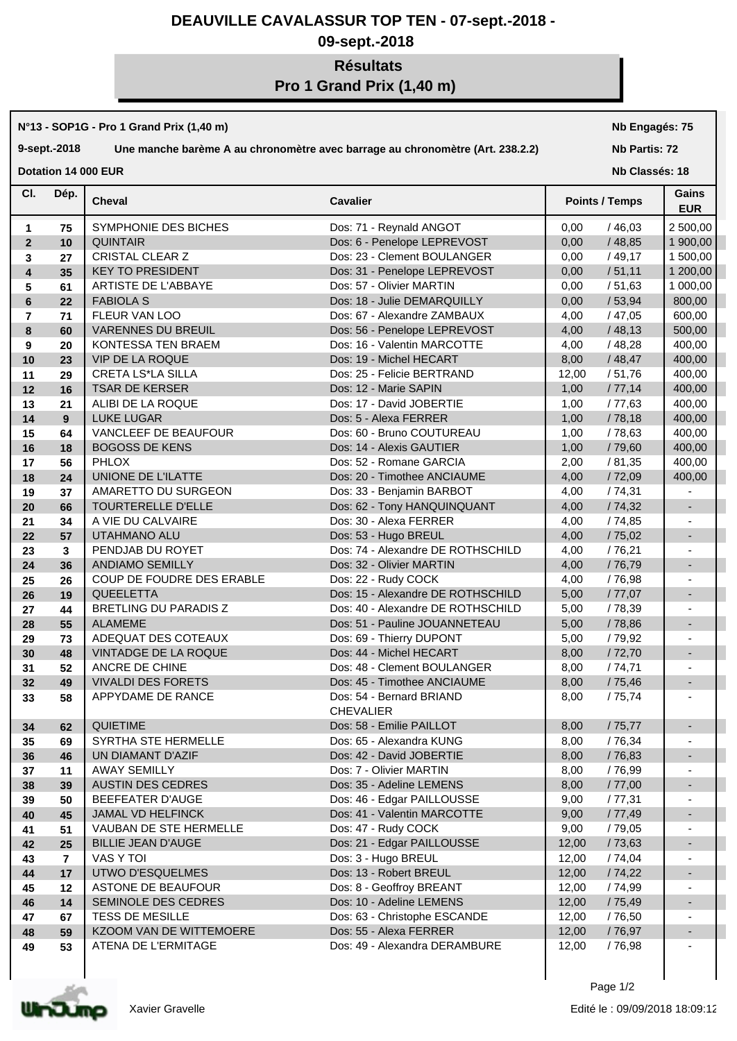## **DEAUVILLE CAVALASSUR TOP TEN - 07-sept.-2018 -**

### **09-sept.-2018**

# **Résultats Pro 1 Grand Prix (1,40 m)**

#### **N°13 - SOP1G - Pro 1 Grand Prix (1,40 m)**

#### **9-sept.-2018 Une manche barème A au chronomètre avec barrage au chronomètre (Art. 238.2.2)**

**Nb Engagés: 75**

#### **Nb Partis: 72**

**Dotation 14 000 EUR** 

#### **Cheval Cavalier Cl. Nb Classés: 18 Gains Points / Temps EUR** Dép. **Cheval 1 75** SYMPHONIE DES BICHES Dos: 71 - Reynald ANGOT 0,00 / 46,03 2 500,00 **2 10** QUINTAIR Dos: 6 - Penelope LEPREVOST 0,00 / 48,85 1 900,00 **3 27** CRISTAL CLEAR Z **Dos: 23 - Clement BOULANGER** 1 0,00 / 49,17 1 500,00 **4 35** KEY TO PRESIDENT Dos: 31 - Penelope LEPREVOST 0,00 / 51,11 1 200,00<br> **5** 61 ARTISTE DE L'ABBAYE Dos: 57 - Olivier MARTIN 0.00 / 51.63 1 000.00 **5 61** ARTISTE DE L'ABBAYE Dos: 57 - Olivier MARTIN 0,00 / 51,63 1 000,00 **6 22 FABIOLA S Dos: 18 - Julie DEMARQUILLY 10,00 / 53,94 800,00 7 71** FLEUR VAN LOO Dos: 67 - Alexandre ZAMBAUX 4,00 / 47,05 600,00 **8 60** VARENNES DU BREUIL Dos: 56 - Penelope LEPREVOST 4.00 / 48.13 500.00 **9 20** KONTESSA TEN BRAEM Dos: 16 - Valentin MARCOTTE 4,00 / 48,28 400,00 **10 23** VIP DE LA ROQUE Dos: 19 - Michel HECART 8,00 / 48,47 400,00 **11 29** CRETA LS\*LA SILLA Dos: 25 - Felicie BERTRAND 12,00 / 51,76 400,00 **12 16** TSAR DE KERSER Dos: 12 - Marie SAPIN 1,00 / 77,14 400,00 **13 21** ALIBI DE LA ROQUE Dos: 17 - David JOBERTIE 1,00 / 77,63 400,00 **14 9** LUKE LUGAR Dos: 5 - Alexa FERRER / 78,18 | 400,00 **15 64** VANCLEEF DE BEAUFOUR Dos: 60 - Bruno COUTUREAU 1,00 / 78,63 400,00 **16 18** BOGOSS DE KENS Dos: 14 - Alexis GAUTIER 1,00 / 79,60 400,00 **17 56** PHLOX Dos: 52 - Romane GARCIA 2,00 / 81,35 400,00 **18 24** UNIONE DE L'ILATTE DOS: 20 - Timothee ANCIAUME 4,00 / 72,09 400,00 **19 37** AMARETTO DU SURGEON Dos: 33 - Benjamin BARBOT 4,00 / 74,31 - **20 66** TOURTERELLE D'ELLE DESTITE RESERVED DOS: 62 - Tony HANQUINQUANT 4,00 / 74,32 **21 34** A VIE DU CALVAIRE Dos: 30 - Alexa FERRER 4.00 / 74.85 -**22 57** UTAHMANO ALU Dos: 53 - Hugo BREUL 4,00 / 75,02 - **23 3** PENDJAB DU ROYET Dos: 74 - Alexandre DE ROTHSCHILD | 4,00 / 76,21 | -**24 36** ANDIAMO SEMILLY Dos: 32 - Olivier MARTIN 4,00 / 76,79 - **25 26** COUP DE FOUDRE DES ERABLE Dos: 22 - Rudy COCK 4,00 / 76,98 - **26 19**  $\vert$  QUEELETTA **Dos: 15 - Alexandre DE ROTHSCHILD**  $\vert$  5,00  $\vert$  /77,07  $\vert$  -**27 44 BRETLING DU PARADIS Z Dos: 40 - Alexandre DE ROTHSCHILD 5,00 / 78,39 - -28 55** ALAMEME Dos: 51 - Pauline JOUANNETEAU 5,00 / 78,86 - -**29 73** ADEQUAT DES COTEAUX Dos: 69 - Thierry DUPONT 5,00 / 79,92 - **30 48** VINTADGE DE LA ROQUE Dos: 44 - Michel HECART 8,00 / 72,70 - **31 52** ANCRE DE CHINE Dos: 48 - Clement BOULANGER 8,00 / 74,71 -**32 49** VIVALDI DES FORETS DOS: 45 - Timothee ANCIAUME  $\begin{array}{|l} | & 8,00 \end{array}$  / 75,46  $\begin{array}{|l} | & -1,00 \end{array}$ **33** Dos: 54 - Bernard BRIAND **58** APPYDAME DE RANCE 8,00 / 75,74 - CHEVALIER **34 62** QUIETIME Dos: 58 - Emilie PAILLOT 8,00 / 75,77 - 1<br> **35 69 SYRTHA STE HERMELLE** Dos: 65 - Alexandra KUNG 8,00 / 76,34 -**35 69** SYRTHA STE HERMELLE Dos: 65 - Alexandra KUNG 8,00 / 76,34 - **36 46** UN DIAMANT D'AZIF Dos: 42 - David JOBERTIE 8,00 / 76,83 - **37 11** AWAY SEMILLY Dos: 7 - Olivier MARTIN 8,00 / 76,99 **38 39** AUSTIN DES CEDRES Dos: 35 - Adeline LEMENS 8,00 / 77,00 - **39 50** BEEFEATER D'AUGE Dos: 46 - Edgar PAILLOUSSE 9,00 / 77,31 -**40 45** JJAMAL VD HELFINCK Dos: 41 - Valentin MARCOTTE 9,00 / 77,49 **-41 51** NAUBAN DE STE HERMELLE Dos: 47 - Rudy COCK 9.00 / 79.05 -**42 25** BILLIE JEAN D'AUGE Dos: 21 - Edgar PAILLOUSSE 12,00 / 73,63 - **43 7** VAS Y TOI Dos: 3 - Hugo BREUL 12,00 / 74,04 - **44 17** UTWO D'ESQUELMES Dos: 13 - Robert BREUL 12,00 / 74,22 - **45 12** ASTONE DE BEAUFOUR **Dos: 8 - Geoffroy BREANT** 12,00 / 74,99 **46 14 SEMINOLE DES CEDRES** Dos: 10 - Adeline LEMENS 12,00 / 75,49 **47 67** TESS DE MESILLE **Dos: 63 - Christophe ESCANDE** 12,00 / 76,50 **48 59** KZOOM VAN DE WITTEMOERE Dos: 55 - Alexa FERRER 12,00 / 76,97 F -

**49 53** ATENA DE L'ERMITAGE Dos: 49 - Alexandra DERAMBURE 12,00 / 76,98 -

Xavier Gravelle

Page 1/2